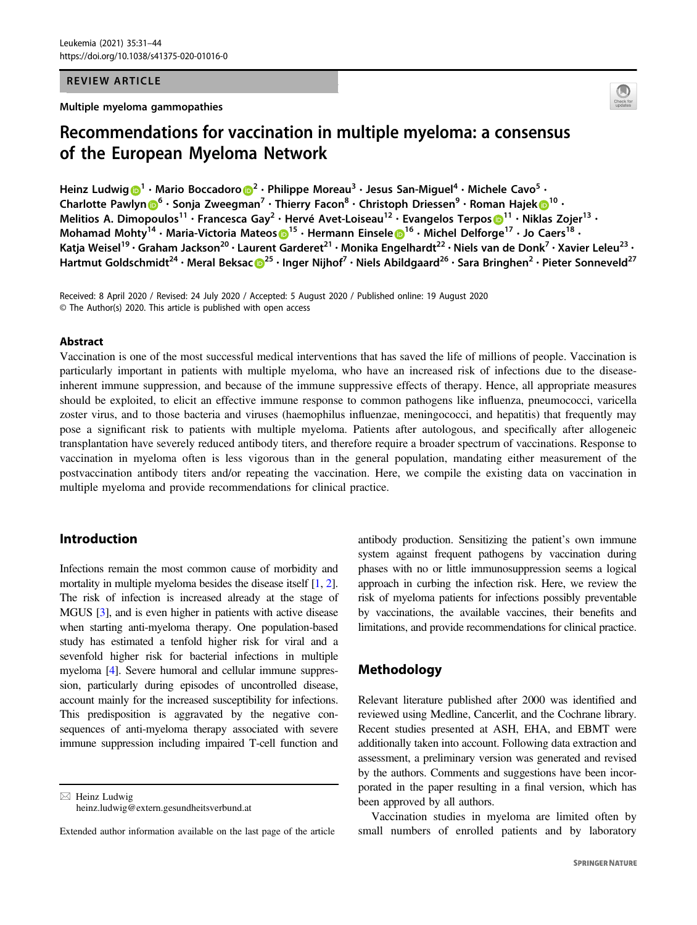### REVIEW ARTICLE

Multiple myeloma gammopathies



# Recommendations for vaccination in multiple myeloma: a consensus of the European Myeloma Network

Heinz Ludwi[g](http://orcid.org/0000-0002-3302-8726)  $\bigcirc^1 \cdot$  $\bigcirc^1 \cdot$  $\bigcirc^1 \cdot$  Mario Boccadoro  $\bigcirc^2 \cdot$  $\bigcirc^2 \cdot$  $\bigcirc^2 \cdot$  Philippe Moreau $^3 \cdot$  Jesus San-Miguel $^4 \cdot$  Michele Cavo $^5 \cdot$ Charlotte Pawly[n](http://orcid.org/0000-0002-7190-0028)  $\mathbf{D}^6 \cdot$  $\mathbf{D}^6 \cdot$  $\mathbf{D}^6 \cdot$  Sonja Zweegman<sup>7</sup> • Thierry Facon<sup>8</sup> • Christoph Driessen<sup>9</sup> • Roman Haje[k](http://orcid.org/0000-0001-6955-6267) $\mathbf{D}^{10}$  $\mathbf{D}^{10}$  $\mathbf{D}^{10}$  • Melitios A. Dimopoulos<sup>[1](http://orcid.org/0000-0001-5133-1422)1</sup> • Francesca Gay<sup>2</sup> • Hervé Avet-Loiseau<sup>12</sup> • Evangelos Terpos D<sup>11</sup> • Niklas Zojer<sup>13</sup> • Mohamad Mohty<sup>[1](http://orcid.org/0000-0002-7680-0819)4</sup> • Maria-Victoria Mat[e](http://orcid.org/0000-0002-7680-0819)os D<sup>15</sup> • Hermann Einsele D<sup>16</sup> • Michel Delforge<sup>17</sup> • Jo Caers<sup>18</sup> • Katja Weisel<sup>19</sup> • Graham Jackson<sup>20</sup> • Laurent Garderet<sup>21</sup> • Monika Engelhardt<sup>22</sup> • Niels van de Donk<sup>7</sup> • Xavier Leleu<sup>23</sup> • Hartmut Golds[c](http://orcid.org/0000-0003-1797-8657)hmidt<sup>[2](http://orcid.org/0000-0003-1797-8657)4</sup> • Meral Beksac D<sup>25</sup> • Inger Nijhof<sup>7</sup> • Niels Abildgaard<sup>26</sup> • Sara Bringhen<sup>2</sup> • Pieter Sonneveld<sup>27</sup>

Received: 8 April 2020 / Revised: 24 July 2020 / Accepted: 5 August 2020 / Published online: 19 August 2020 © The Author(s) 2020. This article is published with open access

#### Abstract

Vaccination is one of the most successful medical interventions that has saved the life of millions of people. Vaccination is particularly important in patients with multiple myeloma, who have an increased risk of infections due to the diseaseinherent immune suppression, and because of the immune suppressive effects of therapy. Hence, all appropriate measures should be exploited, to elicit an effective immune response to common pathogens like influenza, pneumococci, varicella zoster virus, and to those bacteria and viruses (haemophilus influenzae, meningococci, and hepatitis) that frequently may pose a significant risk to patients with multiple myeloma. Patients after autologous, and specifically after allogeneic transplantation have severely reduced antibody titers, and therefore require a broader spectrum of vaccinations. Response to vaccination in myeloma often is less vigorous than in the general population, mandating either measurement of the postvaccination antibody titers and/or repeating the vaccination. Here, we compile the existing data on vaccination in multiple myeloma and provide recommendations for clinical practice.

# Introduction

Infections remain the most common cause of morbidity and mortality in multiple myeloma besides the disease itself [\[1,](#page-10-0) [2\]](#page-10-0). The risk of infection is increased already at the stage of MGUS [\[3](#page-10-0)], and is even higher in patients with active disease when starting anti-myeloma therapy. One population-based study has estimated a tenfold higher risk for viral and a sevenfold higher risk for bacterial infections in multiple myeloma [\[4](#page-10-0)]. Severe humoral and cellular immune suppression, particularly during episodes of uncontrolled disease, account mainly for the increased susceptibility for infections. This predisposition is aggravated by the negative consequences of anti-myeloma therapy associated with severe immune suppression including impaired T-cell function and

 $\boxtimes$  Heinz Ludwig [heinz.ludwig@extern.gesundheitsverbund.at](mailto:heinz.ludwig@extern.gesundheitsverbund.at) antibody production. Sensitizing the patient's own immune system against frequent pathogens by vaccination during phases with no or little immunosuppression seems a logical approach in curbing the infection risk. Here, we review the risk of myeloma patients for infections possibly preventable by vaccinations, the available vaccines, their benefits and limitations, and provide recommendations for clinical practice.

# Methodology

Relevant literature published after 2000 was identified and reviewed using Medline, Cancerlit, and the Cochrane library. Recent studies presented at ASH, EHA, and EBMT were additionally taken into account. Following data extraction and assessment, a preliminary version was generated and revised by the authors. Comments and suggestions have been incorporated in the paper resulting in a final version, which has been approved by all authors.

Vaccination studies in myeloma are limited often by small numbers of enrolled patients and by laboratory

Extended author information available on the last page of the article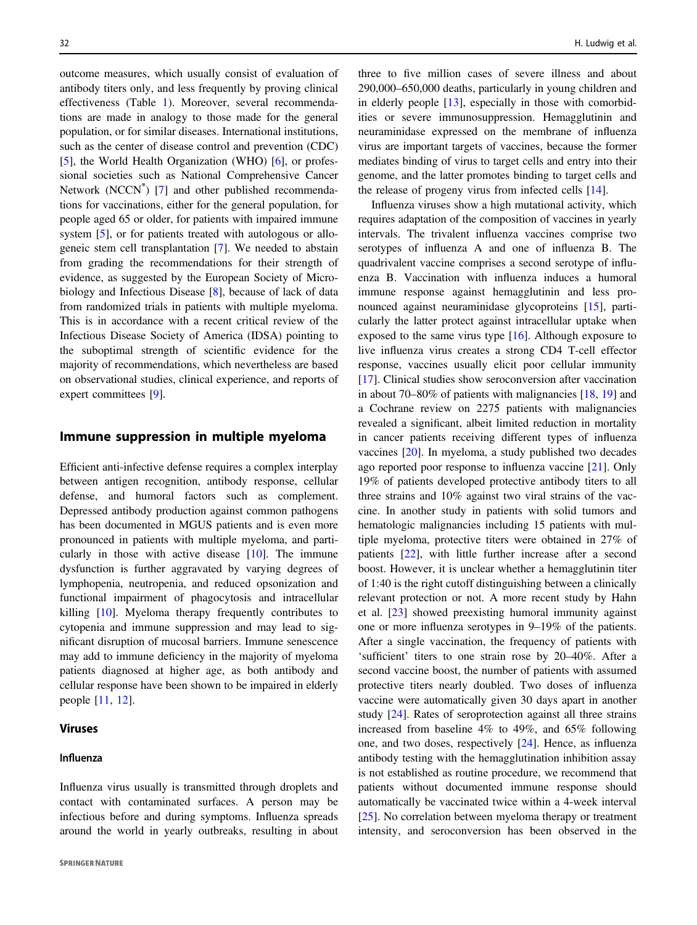outcome measures, which usually consist of evaluation of antibody titers only, and less frequently by proving clinical effectiveness (Table [1\)](#page-2-0). Moreover, several recommendations are made in analogy to those made for the general population, or for similar diseases. International institutions, such as the center of disease control and prevention (CDC) [\[5](#page-10-0)], the World Health Organization (WHO) [\[6](#page-10-0)], or professional societies such as National Comprehensive Cancer Network (NCCN®) [\[7](#page-10-0)] and other published recommendations for vaccinations, either for the general population, for people aged 65 or older, for patients with impaired immune system [\[5](#page-10-0)], or for patients treated with autologous or allogeneic stem cell transplantation [\[7](#page-10-0)]. We needed to abstain from grading the recommendations for their strength of evidence, as suggested by the European Society of Microbiology and Infectious Disease [[8\]](#page-10-0), because of lack of data from randomized trials in patients with multiple myeloma. This is in accordance with a recent critical review of the Infectious Disease Society of America (IDSA) pointing to the suboptimal strength of scientific evidence for the majority of recommendations, which nevertheless are based on observational studies, clinical experience, and reports of expert committees [[9\]](#page-10-0).

## Immune suppression in multiple myeloma

Efficient anti-infective defense requires a complex interplay between antigen recognition, antibody response, cellular defense, and humoral factors such as complement. Depressed antibody production against common pathogens has been documented in MGUS patients and is even more pronounced in patients with multiple myeloma, and particularly in those with active disease [\[10](#page-10-0)]. The immune dysfunction is further aggravated by varying degrees of lymphopenia, neutropenia, and reduced opsonization and functional impairment of phagocytosis and intracellular killing [[10\]](#page-10-0). Myeloma therapy frequently contributes to cytopenia and immune suppression and may lead to significant disruption of mucosal barriers. Immune senescence may add to immune deficiency in the majority of myeloma patients diagnosed at higher age, as both antibody and cellular response have been shown to be impaired in elderly people [[11,](#page-10-0) [12\]](#page-10-0).

# Viruses

# Influenza

Influenza virus usually is transmitted through droplets and contact with contaminated surfaces. A person may be infectious before and during symptoms. Influenza spreads around the world in yearly outbreaks, resulting in about

three to five million cases of severe illness and about 290,000–650,000 deaths, particularly in young children and in elderly people [\[13](#page-11-0)], especially in those with comorbidities or severe immunosuppression. Hemagglutinin and neuraminidase expressed on the membrane of influenza virus are important targets of vaccines, because the former mediates binding of virus to target cells and entry into their genome, and the latter promotes binding to target cells and the release of progeny virus from infected cells [[14\]](#page-11-0).

Influenza viruses show a high mutational activity, which requires adaptation of the composition of vaccines in yearly intervals. The trivalent influenza vaccines comprise two serotypes of influenza A and one of influenza B. The quadrivalent vaccine comprises a second serotype of influenza B. Vaccination with influenza induces a humoral immune response against hemagglutinin and less pronounced against neuraminidase glycoproteins [\[15](#page-11-0)], particularly the latter protect against intracellular uptake when exposed to the same virus type [[16\]](#page-11-0). Although exposure to live influenza virus creates a strong CD4 T-cell effector response, vaccines usually elicit poor cellular immunity [\[17](#page-11-0)]. Clinical studies show seroconversion after vaccination in about 70–80% of patients with malignancies [[18,](#page-11-0) [19](#page-11-0)] and a Cochrane review on 2275 patients with malignancies revealed a significant, albeit limited reduction in mortality in cancer patients receiving different types of influenza vaccines [[20\]](#page-11-0). In myeloma, a study published two decades ago reported poor response to influenza vaccine [[21\]](#page-11-0). Only 19% of patients developed protective antibody titers to all three strains and 10% against two viral strains of the vaccine. In another study in patients with solid tumors and hematologic malignancies including 15 patients with multiple myeloma, protective titers were obtained in 27% of patients [[22\]](#page-11-0), with little further increase after a second boost. However, it is unclear whether a hemagglutinin titer of 1:40 is the right cutoff distinguishing between a clinically relevant protection or not. A more recent study by Hahn et al. [[23\]](#page-11-0) showed preexisting humoral immunity against one or more influenza serotypes in 9–19% of the patients. After a single vaccination, the frequency of patients with 'sufficient' titers to one strain rose by 20–40%. After a second vaccine boost, the number of patients with assumed protective titers nearly doubled. Two doses of influenza vaccine were automatically given 30 days apart in another study [\[24](#page-11-0)]. Rates of seroprotection against all three strains increased from baseline 4% to 49%, and 65% following one, and two doses, respectively [[24\]](#page-11-0). Hence, as influenza antibody testing with the hemagglutination inhibition assay is not established as routine procedure, we recommend that patients without documented immune response should automatically be vaccinated twice within a 4-week interval [\[25](#page-11-0)]. No correlation between myeloma therapy or treatment intensity, and seroconversion has been observed in the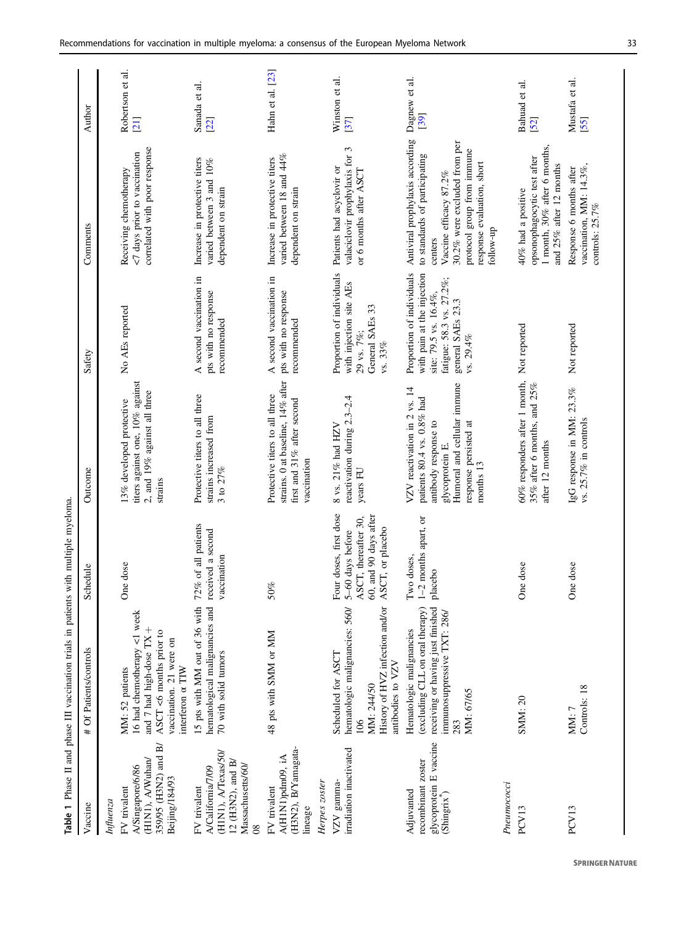<span id="page-2-0"></span>

|                                                                                                                       | Table 1 Phase II and phase III vaccination trials in patients with multiple myeloma.                                                                 |                                                                                                                     |                                                                                                                                                                            |                                                                                                                                                |                                                                                                                                                                                                                |                          |
|-----------------------------------------------------------------------------------------------------------------------|------------------------------------------------------------------------------------------------------------------------------------------------------|---------------------------------------------------------------------------------------------------------------------|----------------------------------------------------------------------------------------------------------------------------------------------------------------------------|------------------------------------------------------------------------------------------------------------------------------------------------|----------------------------------------------------------------------------------------------------------------------------------------------------------------------------------------------------------------|--------------------------|
| Vaccine                                                                                                               | # Of Patients/controls                                                                                                                               | Schedule                                                                                                            | Outcome                                                                                                                                                                    | Safety                                                                                                                                         | Comments                                                                                                                                                                                                       | Author                   |
| Influenza                                                                                                             |                                                                                                                                                      |                                                                                                                     |                                                                                                                                                                            |                                                                                                                                                |                                                                                                                                                                                                                |                          |
| 359/95 (H3N2) and B/<br>(H1N1), A/Wuhan/<br>A/Singapore/6/86<br>Beijing/184/93<br>FV trivalent                        | 16 had chemotherapy <1 week<br>and 7 had high-dose TX +<br>ASCT <6 months prior to<br>vaccination. 21 were on<br>interferon a TIW<br>MM: 52 patients | One dose                                                                                                            | titers against one, 10% against<br>2, and 19% against all three<br>13% developed protective<br>strains                                                                     | No AEs reported                                                                                                                                | correlated with poor response<br><7 days prior to vaccination<br>Receiving chemotherapy                                                                                                                        | Robertson et al.<br>[21] |
| (HIN1), A/Texas/50/<br>12 (H3N2), and $B/$<br>Massachusetts/60/<br>A/California/7/09<br>FV trivalent<br>$\frac{8}{2}$ | 15 pts with MM out of 36 with<br>hematological malignancies and<br>70 with solid tumors                                                              | 72% of all patients<br>received a second<br>vaccination                                                             | Protective titers to all three<br>strains increased from<br>3 to $27%$                                                                                                     | A second vaccination in<br>pts with no response<br>recommended                                                                                 | Increase in protective titers<br>varied between 3 and 10%<br>dependent on strain                                                                                                                               | Sanada et al.<br>[22]    |
| (H3N2), B/Yamagata-<br>A(H1N1)pdm09, iA<br>Herpes zoster<br>FV trivalent<br>lineage                                   | 48 pts with SMM or MM                                                                                                                                | $50\%$                                                                                                              | strains. 0 at baseline, 14% after<br>Protective titers to all three<br>first and 31% after second<br>vaccination                                                           | A second vaccination in<br>pts with no response<br>recommended                                                                                 | varied between 18 and 44%<br>Increase in protective titers<br>dependent on strain                                                                                                                              | Hahn et al. [23]         |
| irradiation inactivated<br>$VZV$ gamma-                                                                               | hematologic malignancies: 560/<br>History of HVZ infection and/or<br>Scheduled for ASCT<br>antibodies to VZV<br>MM: 244/50<br>$\frac{6}{2}$          | Four doses, first dose<br>60, and 90 days after<br>ASCT, thereafter 30,<br>CT, or placebo<br>5-60 days before<br>AS | reactivation during 2.3-2.4<br>8 vs. 21% had HZV<br>years FU                                                                                                               | Proportion of individuals<br>with injection site AEs<br>General SAEs 33<br>29 vs. 7%;<br>vs. 33%                                               | $\epsilon$<br>valaciclovir prophylaxis for<br>Patients had acyclovir or<br>or 6 months after ASCT                                                                                                              | Winston et al.<br>[37]   |
| glycoprotein E vaccine<br>recombinant zoster<br>Adjuvanted<br>(Shingrix <sup>®</sup> )                                | receiving or having just finished<br>(excluding CLL on oral therapy)<br>immunosuppressive TXT: 286/<br>Hematologic malignancies<br>MM: 67/65<br>283  | 1-2 months apart, or<br>Two doses,<br>placebo                                                                       | Humoral and cellular immune<br>VZV reactivation in 2 vs. 14<br>patients 80.4 vs. 0.8% had<br>antibody response to<br>response persisted at<br>glycoprotein E.<br>months 13 | Proportion of individuals<br>with pain at the injection<br>fatigue: 58.3 vs. 27.2%;<br>site: 79.5 vs. 16.4%,<br>general SAEs 23.3<br>vs. 29.4% | Antiviral prophylaxis according<br>30.2% were excluded from per<br>protocol group from immune<br>to standards of participating<br>response evaluation, short<br>Vaccine efficacy 87.2%<br>follow-up<br>centers | Dagnew et al.<br>[39]    |
| Pneumococci<br>PCV13                                                                                                  | SMM: 20                                                                                                                                              | One dose                                                                                                            | 60% responders after 1 month, Not reported<br>35% after 6 months, and $25\%$<br>after 12 months                                                                            |                                                                                                                                                | 1 month, 30% after 6 months,<br>opsonophagocytic test after<br>and 25% after 12 months<br>40% had a positive                                                                                                   | Bahuad et al.<br>[52]    |
| PCV13                                                                                                                 | Controls: 18<br>MM: 7                                                                                                                                | One dose                                                                                                            | IgG response in MM: 23.3%<br>vs. 25.7% in controls                                                                                                                         | Not reported                                                                                                                                   | vaccination, MM: 14.3%,<br>Response 6 months after<br>controls: 25.7%                                                                                                                                          | Mustafa et al.<br>[55]   |
|                                                                                                                       |                                                                                                                                                      |                                                                                                                     |                                                                                                                                                                            |                                                                                                                                                |                                                                                                                                                                                                                |                          |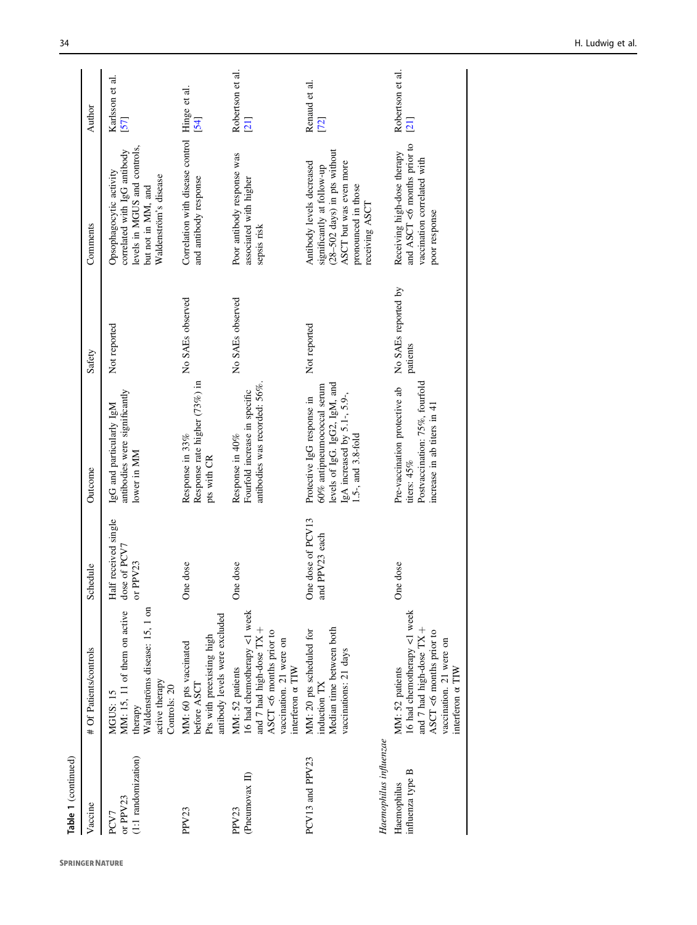| Table 1 (continued)                       |                                                                                                                                                      |                                       |                                                                                                                                                 |                                 |                                                                                                                                                              |                          |
|-------------------------------------------|------------------------------------------------------------------------------------------------------------------------------------------------------|---------------------------------------|-------------------------------------------------------------------------------------------------------------------------------------------------|---------------------------------|--------------------------------------------------------------------------------------------------------------------------------------------------------------|--------------------------|
| Vaccine                                   | # Of Patients/controls                                                                                                                               | Schedule                              | Outcome                                                                                                                                         | Safety                          | Comments                                                                                                                                                     | Author                   |
| $(1:1$ randomization)<br>or PPV23<br>PCV7 | MM: 15, 11 of them on active dose of PCV7<br>Waldenströms disease: 15, 1 on<br>active therapy<br>Controls: 20<br>MGUS: 15<br>therapy                 | Half received single<br>or PPV23      | antibodies were significantly<br>IgG and particularly IgM<br>lower in MM                                                                        | Not reported                    | levels in MGUS and controls,<br>correlated with IgG antibody<br>Opsophagocytic activity<br>Waldenström's disease<br>but not in MM, and                       | Karlsson et al.<br>57    |
| PPV23                                     | antibody levels were excluded<br>Pts with preexisting high<br>MM: 60 pts vaccinated<br>before ASCT                                                   | One dose                              | Response rate higher (73%) in<br>Response in 33%<br>pts with CR                                                                                 | No SAEs observed                | Correlation with disease control Hinge et al.<br>and antibody response                                                                                       | $\left[54\right]$        |
| (Pneumovax II)<br>PPV23                   | 16 had chemotherapy <1 week<br>and 7 had high-dose TX +<br>ASCT <6 months prior to<br>vaccination. 21 were on<br>interferon a TIW<br>MM: 52 patients | One dose                              | antibodies was recorded: 56%.<br>Fourfold increase in specific<br>Response in 40%                                                               | No SAEs observed                | Poor antibody response was<br>associated with higher<br>sepsis risk                                                                                          | Robertson et al.<br>[21] |
| PCV13 and PPV23                           | Median time between both<br>MM: 20 pts scheduled for<br>vaccinations: 21 days<br>induction TX                                                        | One dose of PCV13<br>PPV23 each<br>ਰੂ | levels of IgG. IgG2, IgM, and<br>60% antipneumococcal serum<br>lgA increased by 5.1-, 5.9-,<br>Protective IgG response in<br>1.5-, and 3.8-fold | Not reported                    | $(28-502$ days) in pts without<br>Antibody levels decreased<br>ASCT but was even more<br>significantly at follow-up<br>pronounced in those<br>receiving ASCT | Renaud et al.<br>[72]    |
| Haemophilus influenzae                    |                                                                                                                                                      |                                       |                                                                                                                                                 |                                 |                                                                                                                                                              |                          |
| influenza type B<br>Haemophilus           | 16 had chemotherapy <1 week<br>and 7 had high-dose TX +<br>ASCT <6 months prior to<br>vaccination. 21 were on<br>MM: 52 patients<br>interferon a TIW | One dose                              | Postvaccination: 75%, fourfold<br>Pre-vaccination protective ab<br>increase in ab titers in 41<br>titers: $45%$                                 | No SAEs reported by<br>patients | and ASCT <6 months prior to<br>Receiving high-dose therapy<br>vaccination correlated with<br>poor response                                                   | Robertson et al.<br>[21] |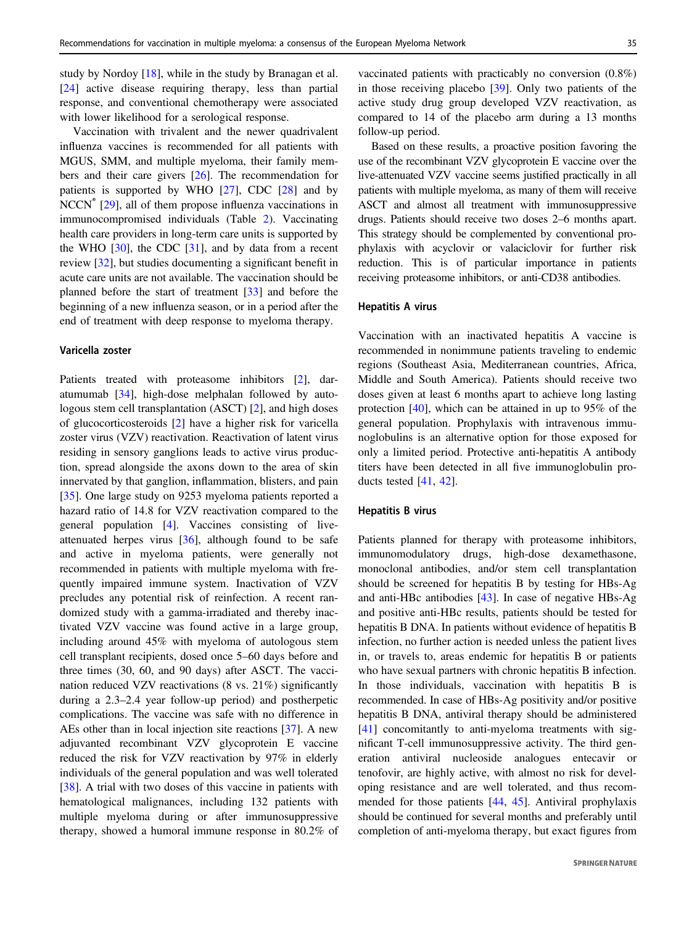study by Nordoy [\[18](#page-11-0)], while in the study by Branagan et al. [\[24](#page-11-0)] active disease requiring therapy, less than partial response, and conventional chemotherapy were associated with lower likelihood for a serological response.

Vaccination with trivalent and the newer quadrivalent influenza vaccines is recommended for all patients with MGUS, SMM, and multiple myeloma, their family members and their care givers [\[26](#page-11-0)]. The recommendation for patients is supported by WHO [[27\]](#page-11-0), CDC [[28\]](#page-11-0) and by NCCN® [[29\]](#page-11-0), all of them propose influenza vaccinations in immunocompromised individuals (Table [2\)](#page-5-0). Vaccinating health care providers in long-term care units is supported by the WHO  $[30]$  $[30]$ , the CDC  $[31]$  $[31]$ , and by data from a recent review [[32\]](#page-11-0), but studies documenting a significant benefit in acute care units are not available. The vaccination should be planned before the start of treatment [\[33](#page-11-0)] and before the beginning of a new influenza season, or in a period after the end of treatment with deep response to myeloma therapy.

## Varicella zoster

Patients treated with proteasome inhibitors [\[2](#page-10-0)], daratumumab [\[34](#page-11-0)], high-dose melphalan followed by autologous stem cell transplantation (ASCT) [[2\]](#page-10-0), and high doses of glucocorticosteroids [\[2](#page-10-0)] have a higher risk for varicella zoster virus (VZV) reactivation. Reactivation of latent virus residing in sensory ganglions leads to active virus production, spread alongside the axons down to the area of skin innervated by that ganglion, inflammation, blisters, and pain [\[35](#page-11-0)]. One large study on 9253 myeloma patients reported a hazard ratio of 14.8 for VZV reactivation compared to the general population [\[4](#page-10-0)]. Vaccines consisting of liveattenuated herpes virus [\[36](#page-11-0)], although found to be safe and active in myeloma patients, were generally not recommended in patients with multiple myeloma with frequently impaired immune system. Inactivation of VZV precludes any potential risk of reinfection. A recent randomized study with a gamma-irradiated and thereby inactivated VZV vaccine was found active in a large group, including around 45% with myeloma of autologous stem cell transplant recipients, dosed once 5–60 days before and three times (30, 60, and 90 days) after ASCT. The vaccination reduced VZV reactivations (8 vs. 21%) significantly during a 2.3–2.4 year follow-up period) and postherpetic complications. The vaccine was safe with no difference in AEs other than in local injection site reactions [[37\]](#page-11-0). A new adjuvanted recombinant VZV glycoprotein E vaccine reduced the risk for VZV reactivation by 97% in elderly individuals of the general population and was well tolerated [\[38](#page-11-0)]. A trial with two doses of this vaccine in patients with hematological malignances, including 132 patients with multiple myeloma during or after immunosuppressive therapy, showed a humoral immune response in 80.2% of

vaccinated patients with practicably no conversion (0.8%) in those receiving placebo [\[39](#page-11-0)]. Only two patients of the active study drug group developed VZV reactivation, as compared to 14 of the placebo arm during a 13 months follow-up period.

Based on these results, a proactive position favoring the use of the recombinant VZV glycoprotein E vaccine over the live-attenuated VZV vaccine seems justified practically in all patients with multiple myeloma, as many of them will receive ASCT and almost all treatment with immunosuppressive drugs. Patients should receive two doses 2–6 months apart. This strategy should be complemented by conventional prophylaxis with acyclovir or valaciclovir for further risk reduction. This is of particular importance in patients receiving proteasome inhibitors, or anti-CD38 antibodies.

## Hepatitis A virus

Vaccination with an inactivated hepatitis A vaccine is recommended in nonimmune patients traveling to endemic regions (Southeast Asia, Mediterranean countries, Africa, Middle and South America). Patients should receive two doses given at least 6 months apart to achieve long lasting protection [[40\]](#page-11-0), which can be attained in up to 95% of the general population. Prophylaxis with intravenous immunoglobulins is an alternative option for those exposed for only a limited period. Protective anti-hepatitis A antibody titers have been detected in all five immunoglobulin products tested [[41,](#page-11-0) [42\]](#page-11-0).

## Hepatitis B virus

Patients planned for therapy with proteasome inhibitors, immunomodulatory drugs, high-dose dexamethasone, monoclonal antibodies, and/or stem cell transplantation should be screened for hepatitis B by testing for HBs-Ag and anti-HBc antibodies [\[43](#page-11-0)]. In case of negative HBs-Ag and positive anti-HBc results, patients should be tested for hepatitis B DNA. In patients without evidence of hepatitis B infection, no further action is needed unless the patient lives in, or travels to, areas endemic for hepatitis B or patients who have sexual partners with chronic hepatitis B infection. In those individuals, vaccination with hepatitis B is recommended. In case of HBs-Ag positivity and/or positive hepatitis B DNA, antiviral therapy should be administered [\[41](#page-11-0)] concomitantly to anti-myeloma treatments with significant T-cell immunosuppressive activity. The third generation antiviral nucleoside analogues entecavir or tenofovir, are highly active, with almost no risk for developing resistance and are well tolerated, and thus recommended for those patients [[44,](#page-11-0) [45\]](#page-11-0). Antiviral prophylaxis should be continued for several months and preferably until completion of anti-myeloma therapy, but exact figures from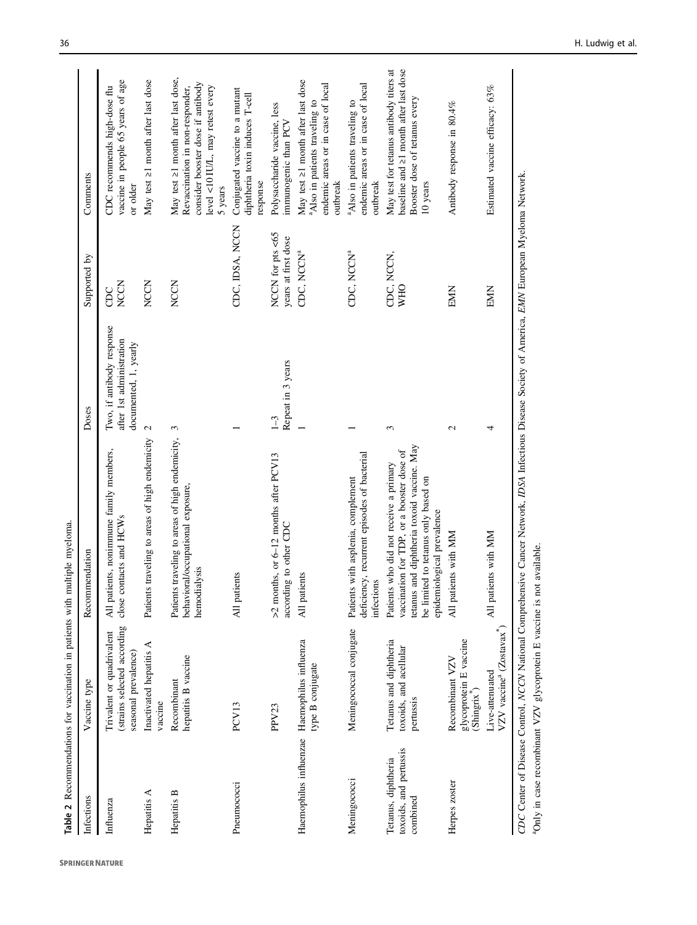<span id="page-5-0"></span>

|                                                           | Table 2 Recommendations for vaccination in patients with multiple myeloma.       |                                                                                                                                                                                                        |                                                                                |                                         |                                                                                                                                                           |
|-----------------------------------------------------------|----------------------------------------------------------------------------------|--------------------------------------------------------------------------------------------------------------------------------------------------------------------------------------------------------|--------------------------------------------------------------------------------|-----------------------------------------|-----------------------------------------------------------------------------------------------------------------------------------------------------------|
| Infections                                                | Vaccine type                                                                     | Recommendation                                                                                                                                                                                         | Doses                                                                          | Supported by                            | Comments                                                                                                                                                  |
| Influenza                                                 | (strains selected according<br>Trivalent or quadrivalent<br>seasonal prevalence) | All patients, nonimmune family members,<br>close contacts and HCWs                                                                                                                                     | Two, if antibody response<br>after 1st administration<br>documented, 1, yearly | <b>NCCN</b><br>CDC                      | vaccine in people 65 years of age<br>CDC recommends high-dose flu<br>or older                                                                             |
| Hepatitis A                                               | Inactivated hepatitis A<br>vaccine                                               | traveling to areas of high endemicity<br>Patients                                                                                                                                                      | 2                                                                              | <b>NCCN</b>                             | May test ≥1 month after last dose                                                                                                                         |
| Hepatitis B                                               | hepatitis B vaccine<br>Recombinant                                               | Patients traveling to areas of high endemicity,<br>behavioral/occupational exposure<br>hemodialysis                                                                                                    | 3                                                                              | <b>NCCN</b>                             | May test ≥1 month after last dose,<br>consider booster dose if antibody<br>level <10 IU/L, may retest every<br>Revaccination in non-responder,<br>5 years |
| Pneumococci                                               | PCV13                                                                            | All patients                                                                                                                                                                                           |                                                                                | CDC, IDSA, NCCN                         | Conjugated vaccine to a mutant<br>diphtheria toxin induces T-cell<br>response                                                                             |
|                                                           | PPV23                                                                            | >2 months, or 6-12 months after PCV13<br>according to other CDC                                                                                                                                        | Repeat in 3 years<br>$\overline{1}$                                            | NCCN for pts <65<br>years at first dose | Polysaccharide vaccine, less<br>immunogenic than PCV                                                                                                      |
|                                                           | Haemophilus influenzae Haemophilus influenza<br>type B conjugate                 | All patients                                                                                                                                                                                           |                                                                                | CDC, NCCN <sup>a</sup>                  | May test $\geq 1$ month after last dose<br>endemic areas or in case of local<br>Also in patients traveling to<br>outbreak                                 |
| Meningococci                                              | Meningococcal conjugate                                                          | deficiency, recurrent episodes of bacterial<br>Patients with asplenia, complement<br>infections                                                                                                        |                                                                                | CDC, NCCNª                              | endemic areas or in case of local<br>Also in patients traveling to<br>outbreak                                                                            |
| toxoids, and pertussis<br>Tetanus, diphtheria<br>combined | Tetanus and diphtheria<br>toxoids, and acellular<br>pertussis                    | tetanus and diphtheria toxoid vaccine. May<br>vaccination for TDP, or a booster dose of<br>Patients who did not receive a primary<br>be limited to tetanus only based on<br>epidemiological prevalence | 3                                                                              | CDC, NCCN,<br><b>VHO</b>                | baseline and 21 month after last dose<br>May test for tetanus antibody titers at<br>Booster dose of tetanus every<br>10 years                             |
| Herpes zoster                                             | glycoprotein E vaccine<br>Recombinant VZV<br>$(Shingrix^{\circ})$                | All patients with MM                                                                                                                                                                                   | $\mathcal{L}$                                                                  | EMIN                                    | Antibody response in 80.4%                                                                                                                                |
|                                                           | VZV vaccine <sup>ª</sup> (Zostavax <sup>®</sup> )<br>Live-attenuated             | All patients with MM                                                                                                                                                                                   | 4                                                                              | EMN                                     | Estimated vaccine efficacy: 63%                                                                                                                           |
|                                                           |                                                                                  | CDC Center of Disease Control, NCCN National Comprehensive Cancer Network, IDSA Infectious Disease Society of America, EMN European Myeloma Network.                                                   |                                                                                |                                         |                                                                                                                                                           |

<sup>a</sup>Only in case recombinant VZV glycoprotein E vaccine is not available.

<sup>a</sup>Only in case recombinant VZV glycoprotein E vaccine is not available.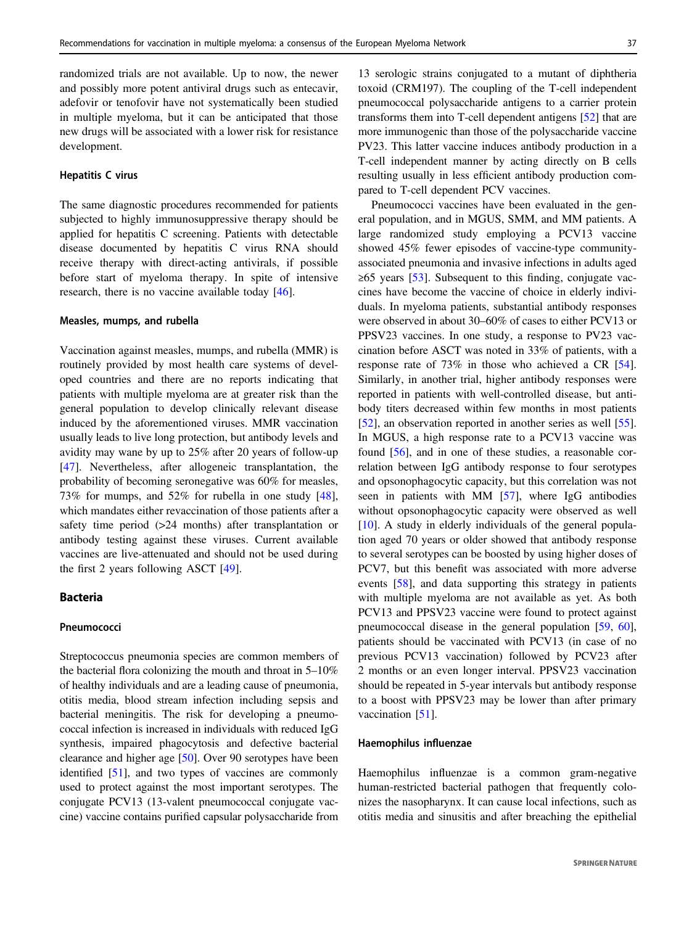randomized trials are not available. Up to now, the newer and possibly more potent antiviral drugs such as entecavir, adefovir or tenofovir have not systematically been studied in multiple myeloma, but it can be anticipated that those new drugs will be associated with a lower risk for resistance development.

#### Hepatitis C virus

The same diagnostic procedures recommended for patients subjected to highly immunosuppressive therapy should be applied for hepatitis C screening. Patients with detectable disease documented by hepatitis C virus RNA should receive therapy with direct-acting antivirals, if possible before start of myeloma therapy. In spite of intensive research, there is no vaccine available today [[46\]](#page-12-0).

#### Measles, mumps, and rubella

Vaccination against measles, mumps, and rubella (MMR) is routinely provided by most health care systems of developed countries and there are no reports indicating that patients with multiple myeloma are at greater risk than the general population to develop clinically relevant disease induced by the aforementioned viruses. MMR vaccination usually leads to live long protection, but antibody levels and avidity may wane by up to 25% after 20 years of follow-up [\[47](#page-12-0)]. Nevertheless, after allogeneic transplantation, the probability of becoming seronegative was 60% for measles, 73% for mumps, and 52% for rubella in one study [\[48](#page-12-0)], which mandates either revaccination of those patients after a safety time period (>24 months) after transplantation or antibody testing against these viruses. Current available vaccines are live-attenuated and should not be used during the first 2 years following ASCT [\[49](#page-12-0)].

## Bacteria

### **Pneumococci**

Streptococcus pneumonia species are common members of the bacterial flora colonizing the mouth and throat in 5–10% of healthy individuals and are a leading cause of pneumonia, otitis media, blood stream infection including sepsis and bacterial meningitis. The risk for developing a pneumococcal infection is increased in individuals with reduced IgG synthesis, impaired phagocytosis and defective bacterial clearance and higher age [\[50](#page-12-0)]. Over 90 serotypes have been identified [[51\]](#page-12-0), and two types of vaccines are commonly used to protect against the most important serotypes. The conjugate PCV13 (13-valent pneumococcal conjugate vaccine) vaccine contains purified capsular polysaccharide from

13 serologic strains conjugated to a mutant of diphtheria toxoid (CRM197). The coupling of the T-cell independent pneumococcal polysaccharide antigens to a carrier protein transforms them into T-cell dependent antigens [\[52\]](#page-12-0) that are more immunogenic than those of the polysaccharide vaccine PV23. This latter vaccine induces antibody production in a T-cell independent manner by acting directly on B cells resulting usually in less efficient antibody production compared to T-cell dependent PCV vaccines.

Pneumococci vaccines have been evaluated in the general population, and in MGUS, SMM, and MM patients. A large randomized study employing a PCV13 vaccine showed 45% fewer episodes of vaccine-type communityassociated pneumonia and invasive infections in adults aged  $\geq 65$  years [\[53](#page-12-0)]. Subsequent to this finding, conjugate vaccines have become the vaccine of choice in elderly individuals. In myeloma patients, substantial antibody responses were observed in about 30–60% of cases to either PCV13 or PPSV23 vaccines. In one study, a response to PV23 vaccination before ASCT was noted in 33% of patients, with a response rate of 73% in those who achieved a CR [[54\]](#page-12-0). Similarly, in another trial, higher antibody responses were reported in patients with well-controlled disease, but antibody titers decreased within few months in most patients [\[52](#page-12-0)], an observation reported in another series as well [[55\]](#page-12-0). In MGUS, a high response rate to a PCV13 vaccine was found [\[56](#page-12-0)], and in one of these studies, a reasonable correlation between IgG antibody response to four serotypes and opsonophagocytic capacity, but this correlation was not seen in patients with MM [\[57](#page-12-0)], where IgG antibodies without opsonophagocytic capacity were observed as well [\[10](#page-10-0)]. A study in elderly individuals of the general population aged 70 years or older showed that antibody response to several serotypes can be boosted by using higher doses of PCV7, but this benefit was associated with more adverse events [\[58](#page-12-0)], and data supporting this strategy in patients with multiple myeloma are not available as yet. As both PCV13 and PPSV23 vaccine were found to protect against pneumococcal disease in the general population [[59,](#page-12-0) [60\]](#page-12-0), patients should be vaccinated with PCV13 (in case of no previous PCV13 vaccination) followed by PCV23 after 2 months or an even longer interval. PPSV23 vaccination should be repeated in 5-year intervals but antibody response to a boost with PPSV23 may be lower than after primary vaccination [\[51](#page-12-0)].

## Haemophilus influenzae

Haemophilus influenzae is a common gram-negative human-restricted bacterial pathogen that frequently colonizes the nasopharynx. It can cause local infections, such as otitis media and sinusitis and after breaching the epithelial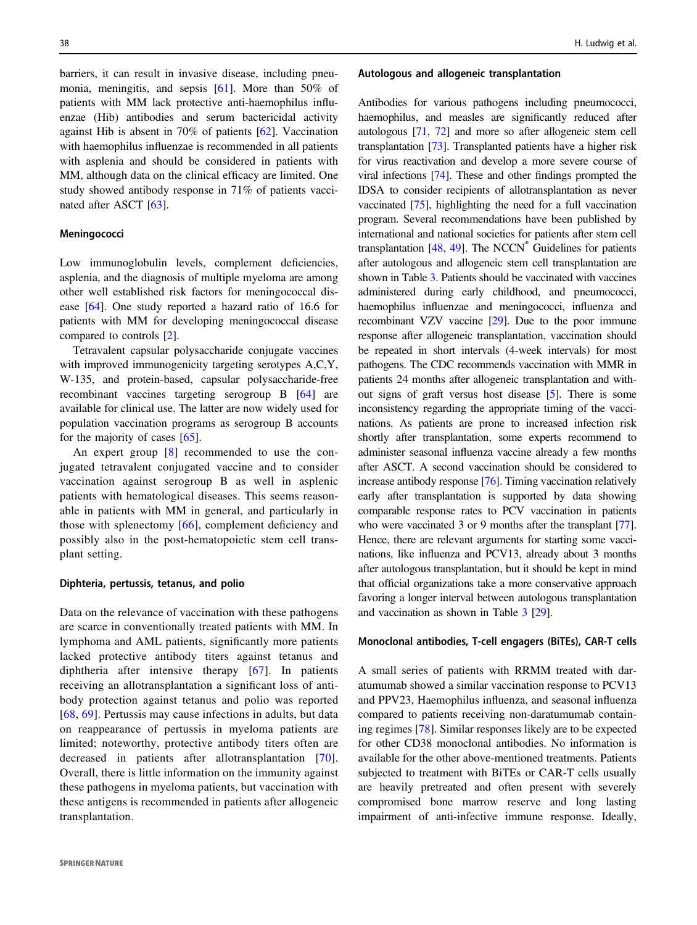barriers, it can result in invasive disease, including pneumonia, meningitis, and sepsis [\[61](#page-12-0)]. More than 50% of patients with MM lack protective anti-haemophilus influenzae (Hib) antibodies and serum bactericidal activity against Hib is absent in 70% of patients [\[62](#page-12-0)]. Vaccination with haemophilus influenzae is recommended in all patients with asplenia and should be considered in patients with MM, although data on the clinical efficacy are limited. One study showed antibody response in 71% of patients vaccinated after ASCT [[63\]](#page-12-0).

### Meningococci

Low immunoglobulin levels, complement deficiencies, asplenia, and the diagnosis of multiple myeloma are among other well established risk factors for meningococcal disease [[64\]](#page-12-0). One study reported a hazard ratio of 16.6 for patients with MM for developing meningococcal disease compared to controls [[2\]](#page-10-0).

Tetravalent capsular polysaccharide conjugate vaccines with improved immunogenicity targeting serotypes A,C,Y, W-135, and protein-based, capsular polysaccharide-free recombinant vaccines targeting serogroup B [\[64](#page-12-0)] are available for clinical use. The latter are now widely used for population vaccination programs as serogroup B accounts for the majority of cases [[65\]](#page-12-0).

An expert group [[8\]](#page-10-0) recommended to use the conjugated tetravalent conjugated vaccine and to consider vaccination against serogroup B as well in asplenic patients with hematological diseases. This seems reasonable in patients with MM in general, and particularly in those with splenectomy [[66](#page-12-0)], complement deficiency and possibly also in the post-hematopoietic stem cell transplant setting.

#### Diphteria, pertussis, tetanus, and polio

Data on the relevance of vaccination with these pathogens are scarce in conventionally treated patients with MM. In lymphoma and AML patients, significantly more patients lacked protective antibody titers against tetanus and diphtheria after intensive therapy [[67](#page-12-0)]. In patients receiving an allotransplantation a significant loss of antibody protection against tetanus and polio was reported [\[68,](#page-12-0) [69](#page-12-0)]. Pertussis may cause infections in adults, but data on reappearance of pertussis in myeloma patients are limited; noteworthy, protective antibody titers often are decreased in patients after allotransplantation [[70](#page-12-0)]. Overall, there is little information on the immunity against these pathogens in myeloma patients, but vaccination with these antigens is recommended in patients after allogeneic transplantation.

#### Autologous and allogeneic transplantation

Antibodies for various pathogens including pneumococci, haemophilus, and measles are significantly reduced after autologous [[71](#page-12-0), [72](#page-12-0)] and more so after allogeneic stem cell transplantation [\[73\]](#page-12-0). Transplanted patients have a higher risk for virus reactivation and develop a more severe course of viral infections [\[74\]](#page-12-0). These and other findings prompted the IDSA to consider recipients of allotransplantation as never vaccinated [[75](#page-12-0)], highlighting the need for a full vaccination program. Several recommendations have been published by international and national societies for patients after stem cell transplantation  $[48, 49]$  $[48, 49]$  $[48, 49]$  $[48, 49]$ . The NCCN® Guidelines for patients after autologous and allogeneic stem cell transplantation are shown in Table [3](#page-8-0). Patients should be vaccinated with vaccines administered during early childhood, and pneumococci, haemophilus influenzae and meningococci, influenza and recombinant VZV vaccine [[29](#page-11-0)]. Due to the poor immune response after allogeneic transplantation, vaccination should be repeated in short intervals (4-week intervals) for most pathogens. The CDC recommends vaccination with MMR in patients 24 months after allogeneic transplantation and without signs of graft versus host disease [\[5\]](#page-10-0). There is some inconsistency regarding the appropriate timing of the vaccinations. As patients are prone to increased infection risk shortly after transplantation, some experts recommend to administer seasonal influenza vaccine already a few months after ASCT. A second vaccination should be considered to increase antibody response [\[76\]](#page-12-0). Timing vaccination relatively early after transplantation is supported by data showing comparable response rates to PCV vaccination in patients who were vaccinated 3 or 9 months after the transplant [\[77\]](#page-12-0). Hence, there are relevant arguments for starting some vaccinations, like influenza and PCV13, already about 3 months after autologous transplantation, but it should be kept in mind that official organizations take a more conservative approach favoring a longer interval between autologous transplantation and vaccination as shown in Table [3](#page-8-0) [\[29](#page-11-0)].

#### Monoclonal antibodies, T-cell engagers (BiTEs), CAR-T cells

A small series of patients with RRMM treated with daratumumab showed a similar vaccination response to PCV13 and PPV23, Haemophilus influenza, and seasonal influenza compared to patients receiving non-daratumumab containing regimes [[78\]](#page-12-0). Similar responses likely are to be expected for other CD38 monoclonal antibodies. No information is available for the other above-mentioned treatments. Patients subjected to treatment with BiTEs or CAR-T cells usually are heavily pretreated and often present with severely compromised bone marrow reserve and long lasting impairment of anti-infective immune response. Ideally,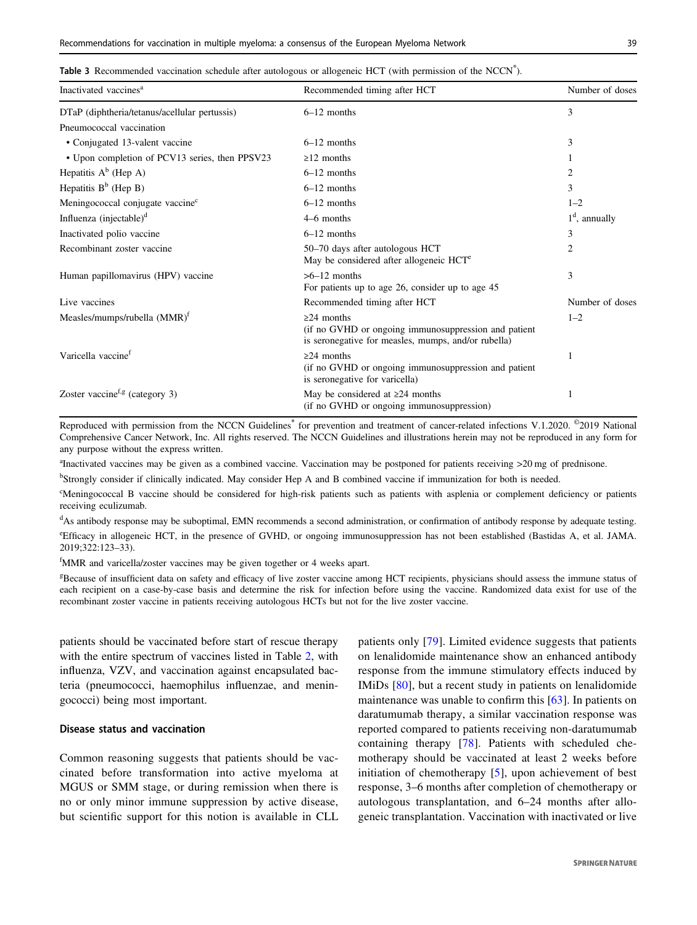## <span id="page-8-0"></span>Table 3 Recommended vaccination schedule after autologous or allogeneic HCT (with permission of the NCCN<sup>®</sup>).

| Inactivated vaccines <sup>a</sup>              | Recommended timing after HCT                                                                                                    | Number of doses |
|------------------------------------------------|---------------------------------------------------------------------------------------------------------------------------------|-----------------|
| DTaP (diphtheria/tetanus/acellular pertussis)  | $6-12$ months                                                                                                                   | 3               |
| Pneumococcal vaccination                       |                                                                                                                                 |                 |
| • Conjugated 13-valent vaccine                 | $6-12$ months                                                                                                                   | 3               |
| • Upon completion of PCV13 series, then PPSV23 | $\geq$ 12 months                                                                                                                |                 |
| Hepatitis $A^b$ (Hep A)                        | $6-12$ months                                                                                                                   | $\overline{2}$  |
| Hepatitis $B^b$ (Hep B)                        | $6-12$ months                                                                                                                   | 3               |
| Meningococcal conjugate vaccine <sup>c</sup>   | $6-12$ months                                                                                                                   | $1 - 2$         |
| Influenza $(injectable)^d$                     | $4-6$ months                                                                                                                    | $1d$ , annually |
| Inactivated polio vaccine                      | $6-12$ months                                                                                                                   | 3               |
| Recombinant zoster vaccine                     | 50–70 days after autologous HCT<br>May be considered after allogeneic HCT <sup>e</sup>                                          | 2               |
| Human papillomavirus (HPV) vaccine             | $>6-12$ months<br>For patients up to age 26, consider up to age 45                                                              | 3               |
| Live vaccines                                  | Recommended timing after HCT                                                                                                    | Number of doses |
| Measles/mumps/rubella (MMR) <sup>f</sup>       | $\geq$ 24 months<br>(if no GVHD or ongoing immunosuppression and patient<br>is seronegative for measles, mumps, and/or rubella) | $1 - 2$         |
| Varicella vaccine <sup>f</sup>                 | $\geq$ 24 months<br>(if no GVHD or ongoing immunosuppression and patient<br>is seronegative for varicella)                      |                 |
| Zoster vaccine <sup>f,g</sup> (category 3)     | May be considered at $\geq 24$ months<br>(if no GVHD or ongoing immunosuppression)                                              |                 |

Reproduced with permission from the NCCN Guidelines<sup>®</sup> for prevention and treatment of cancer-related infections V.1.2020. <sup>©</sup>2019 National Comprehensive Cancer Network, Inc. All rights reserved. The NCCN Guidelines and illustrations herein may not be reproduced in any form for any purpose without the express written.

<sup>a</sup> Inactivated vaccines may be given as a combined vaccine. Vaccination may be postponed for patients receiving >20 mg of prednisone.

<sup>b</sup>Strongly consider if clinically indicated. May consider Hep A and B combined vaccine if immunization for both is needed.

c Meningococcal B vaccine should be considered for high-risk patients such as patients with asplenia or complement deficiency or patients receiving eculizumab.

<sup>d</sup>As antibody response may be suboptimal, EMN recommends a second administration, or confirmation of antibody response by adequate testing.

e Efficacy in allogeneic HCT, in the presence of GVHD, or ongoing immunosuppression has not been established (Bastidas A, et al. JAMA. 2019;322:123–33).

<sup>f</sup>MMR and varicella/zoster vaccines may be given together or 4 weeks apart.

<sup>g</sup>Because of insufficient data on safety and efficacy of live zoster vaccine among HCT recipients, physicians should assess the immune status of each recipient on a case-by-case basis and determine the risk for infection before using the vaccine. Randomized data exist for use of the recombinant zoster vaccine in patients receiving autologous HCTs but not for the live zoster vaccine.

patients should be vaccinated before start of rescue therapy with the entire spectrum of vaccines listed in Table [2,](#page-5-0) with influenza, VZV, and vaccination against encapsulated bacteria (pneumococci, haemophilus influenzae, and meningococci) being most important.

#### Disease status and vaccination

Common reasoning suggests that patients should be vaccinated before transformation into active myeloma at MGUS or SMM stage, or during remission when there is no or only minor immune suppression by active disease, but scientific support for this notion is available in CLL patients only [[79](#page-13-0)]. Limited evidence suggests that patients on lenalidomide maintenance show an enhanced antibody response from the immune stimulatory effects induced by IMiDs [[80\]](#page-13-0), but a recent study in patients on lenalidomide maintenance was unable to confirm this [\[63](#page-12-0)]. In patients on daratumumab therapy, a similar vaccination response was reported compared to patients receiving non-daratumumab containing therapy [\[78](#page-12-0)]. Patients with scheduled chemotherapy should be vaccinated at least 2 weeks before initiation of chemotherapy [[5\]](#page-10-0), upon achievement of best response, 3–6 months after completion of chemotherapy or autologous transplantation, and 6–24 months after allogeneic transplantation. Vaccination with inactivated or live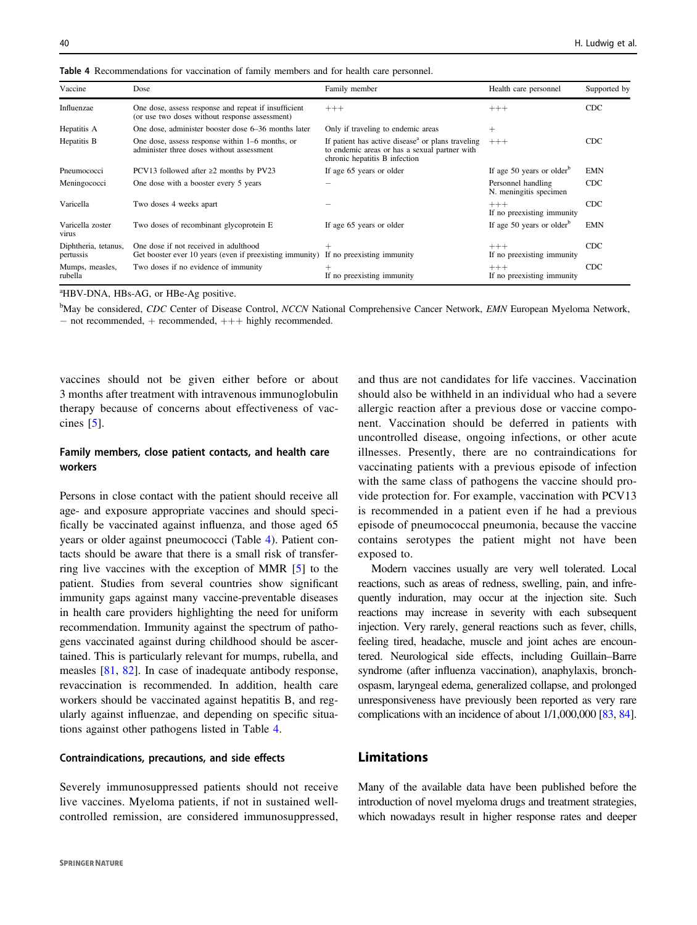| Vaccine                           | Dose                                                                                                   | Family member                                                                                                                                   | Health care personnel                        | Supported by |
|-----------------------------------|--------------------------------------------------------------------------------------------------------|-------------------------------------------------------------------------------------------------------------------------------------------------|----------------------------------------------|--------------|
| Influenzae                        | One dose, assess response and repeat if insufficient<br>(or use two doses without response assessment) | $+++$                                                                                                                                           | $+++$                                        | <b>CDC</b>   |
| Hepatitis A                       | One dose, administer booster dose 6–36 months later                                                    | Only if traveling to endemic areas                                                                                                              | $^{+}$                                       |              |
| Hepatitis B                       | One dose, assess response within 1–6 months, or<br>administer three doses without assessment           | If patient has active disease <sup>a</sup> or plans traveling<br>to endemic areas or has a sexual partner with<br>chronic hepatitis B infection | $+++$                                        | <b>CDC</b>   |
| Pneumococci                       | PCV13 followed after $\geq$ 2 months by PV23                                                           | If age 65 years or older                                                                                                                        | If age 50 years or older $b$                 | <b>EMN</b>   |
| Meningococci                      | One dose with a booster every 5 years                                                                  |                                                                                                                                                 | Personnel handling<br>N. meningitis specimen | <b>CDC</b>   |
| Varicella                         | Two doses 4 weeks apart                                                                                |                                                                                                                                                 | $+++$<br>If no preexisting immunity          | <b>CDC</b>   |
| Varicella zoster<br>virus         | Two doses of recombinant glycoprotein E                                                                | If age 65 years or older                                                                                                                        | If age 50 years or older $b$                 | <b>EMN</b>   |
| Diphtheria, tetanus,<br>pertussis | One dose if not received in adulthood<br>Get booster ever 10 years (even if preexisting immunity)      | $\! +$<br>If no preexisting immunity                                                                                                            | $+++$<br>If no preexisting immunity          | <b>CDC</b>   |
| Mumps, measles,<br>rubella        | Two doses if no evidence of immunity                                                                   | $^+$<br>If no preexisting immunity                                                                                                              | $+++$<br>If no preexisting immunity          | <b>CDC</b>   |

Table 4 Recommendations for vaccination of family members and for health care personnel.

<sup>a</sup>HBV-DNA, HBs-AG, or HBe-Ag positive.

<sup>b</sup>May be considered, CDC Center of Disease Control, NCCN National Comprehensive Cancer Network, EMN European Myeloma Network, − not recommended, + recommended, +++ highly recommended.

vaccines should not be given either before or about 3 months after treatment with intravenous immunoglobulin therapy because of concerns about effectiveness of vaccines [\[5\]](#page-10-0).

# Family members, close patient contacts, and health care workers

Persons in close contact with the patient should receive all age- and exposure appropriate vaccines and should specifically be vaccinated against influenza, and those aged 65 years or older against pneumococci (Table 4). Patient contacts should be aware that there is a small risk of transferring live vaccines with the exception of MMR [[5\]](#page-10-0) to the patient. Studies from several countries show significant immunity gaps against many vaccine-preventable diseases in health care providers highlighting the need for uniform recommendation. Immunity against the spectrum of pathogens vaccinated against during childhood should be ascertained. This is particularly relevant for mumps, rubella, and measles [[81,](#page-13-0) [82\]](#page-13-0). In case of inadequate antibody response, revaccination is recommended. In addition, health care workers should be vaccinated against hepatitis B, and regularly against influenzae, and depending on specific situations against other pathogens listed in Table 4.

## Contraindications, precautions, and side effects

Severely immunosuppressed patients should not receive live vaccines. Myeloma patients, if not in sustained wellcontrolled remission, are considered immunosuppressed, and thus are not candidates for life vaccines. Vaccination should also be withheld in an individual who had a severe allergic reaction after a previous dose or vaccine component. Vaccination should be deferred in patients with uncontrolled disease, ongoing infections, or other acute illnesses. Presently, there are no contraindications for vaccinating patients with a previous episode of infection with the same class of pathogens the vaccine should provide protection for. For example, vaccination with PCV13 is recommended in a patient even if he had a previous episode of pneumococcal pneumonia, because the vaccine contains serotypes the patient might not have been exposed to.

Modern vaccines usually are very well tolerated. Local reactions, such as areas of redness, swelling, pain, and infrequently induration, may occur at the injection site. Such reactions may increase in severity with each subsequent injection. Very rarely, general reactions such as fever, chills, feeling tired, headache, muscle and joint aches are encountered. Neurological side effects, including Guillain–Barre syndrome (after influenza vaccination), anaphylaxis, bronchospasm, laryngeal edema, generalized collapse, and prolonged unresponsiveness have previously been reported as very rare complications with an incidence of about 1/1,000,000 [\[83](#page-13-0), [84\]](#page-13-0).

# Limitations

Many of the available data have been published before the introduction of novel myeloma drugs and treatment strategies, which nowadays result in higher response rates and deeper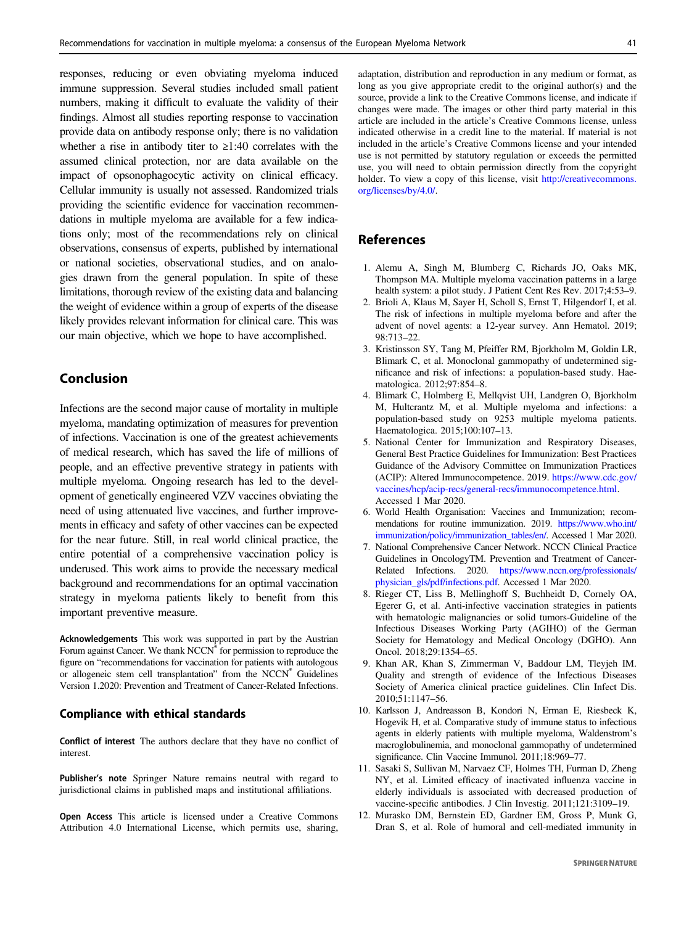<span id="page-10-0"></span>responses, reducing or even obviating myeloma induced immune suppression. Several studies included small patient numbers, making it difficult to evaluate the validity of their findings. Almost all studies reporting response to vaccination provide data on antibody response only; there is no validation whether a rise in antibody titer to ≥1:40 correlates with the assumed clinical protection, nor are data available on the impact of opsonophagocytic activity on clinical efficacy. Cellular immunity is usually not assessed. Randomized trials providing the scientific evidence for vaccination recommendations in multiple myeloma are available for a few indications only; most of the recommendations rely on clinical observations, consensus of experts, published by international or national societies, observational studies, and on analogies drawn from the general population. In spite of these limitations, thorough review of the existing data and balancing the weight of evidence within a group of experts of the disease likely provides relevant information for clinical care. This was our main objective, which we hope to have accomplished.

# Conclusion

Infections are the second major cause of mortality in multiple myeloma, mandating optimization of measures for prevention of infections. Vaccination is one of the greatest achievements of medical research, which has saved the life of millions of people, and an effective preventive strategy in patients with multiple myeloma. Ongoing research has led to the development of genetically engineered VZV vaccines obviating the need of using attenuated live vaccines, and further improvements in efficacy and safety of other vaccines can be expected for the near future. Still, in real world clinical practice, the entire potential of a comprehensive vaccination policy is underused. This work aims to provide the necessary medical background and recommendations for an optimal vaccination strategy in myeloma patients likely to benefit from this important preventive measure.

Acknowledgements This work was supported in part by the Austrian Forum against Cancer. We thank NCCN® for permission to reproduce the figure on "recommendations for vaccination for patients with autologous or allogeneic stem cell transplantation" from the NCCN® Guidelines Version 1.2020: Prevention and Treatment of Cancer-Related Infections.

#### Compliance with ethical standards

Conflict of interest The authors declare that they have no conflict of interest.

Publisher's note Springer Nature remains neutral with regard to jurisdictional claims in published maps and institutional affiliations.

Open Access This article is licensed under a Creative Commons Attribution 4.0 International License, which permits use, sharing, adaptation, distribution and reproduction in any medium or format, as long as you give appropriate credit to the original author(s) and the source, provide a link to the Creative Commons license, and indicate if changes were made. The images or other third party material in this article are included in the article's Creative Commons license, unless indicated otherwise in a credit line to the material. If material is not included in the article's Creative Commons license and your intended use is not permitted by statutory regulation or exceeds the permitted use, you will need to obtain permission directly from the copyright holder. To view a copy of this license, visit [http://creativecommons.](http://creativecommons.org/licenses/by/4.0/) [org/licenses/by/4.0/](http://creativecommons.org/licenses/by/4.0/).

# References

- 1. Alemu A, Singh M, Blumberg C, Richards JO, Oaks MK, Thompson MA. Multiple myeloma vaccination patterns in a large health system: a pilot study. J Patient Cent Res Rev. 2017;4:53–9.
- 2. Brioli A, Klaus M, Sayer H, Scholl S, Ernst T, Hilgendorf I, et al. The risk of infections in multiple myeloma before and after the advent of novel agents: a 12-year survey. Ann Hematol. 2019; 98:713–22.
- 3. Kristinsson SY, Tang M, Pfeiffer RM, Bjorkholm M, Goldin LR, Blimark C, et al. Monoclonal gammopathy of undetermined significance and risk of infections: a population-based study. Haematologica. 2012;97:854–8.
- 4. Blimark C, Holmberg E, Mellqvist UH, Landgren O, Bjorkholm M, Hultcrantz M, et al. Multiple myeloma and infections: a population-based study on 9253 multiple myeloma patients. Haematologica. 2015;100:107–13.
- 5. National Center for Immunization and Respiratory Diseases, General Best Practice Guidelines for Immunization: Best Practices Guidance of the Advisory Committee on Immunization Practices (ACIP): Altered Immunocompetence. 2019. [https://www.cdc.gov/](https://www.cdc.gov/vaccines/hcp/acip-recs/general-recs/immunocompetence.html) [vaccines/hcp/acip-recs/general-recs/immunocompetence.html.](https://www.cdc.gov/vaccines/hcp/acip-recs/general-recs/immunocompetence.html) Accessed 1 Mar 2020.
- 6. World Health Organisation: Vaccines and Immunization; recommendations for routine immunization. 2019. [https://www.who.int/](https://www.who.int/immunization/policy/immunization_tables/en/) [immunization/policy/immunization\\_tables/en/.](https://www.who.int/immunization/policy/immunization_tables/en/) Accessed 1 Mar 2020.
- 7. National Comprehensive Cancer Network. NCCN Clinical Practice Guidelines in OncologyTM. Prevention and Treatment of Cancer-Related Infections. 2020. [https://www.nccn.org/professionals/](https://www.nccn.org/professionals/physician_gls/pdf/infections.pdf) [physician\\_gls/pdf/infections.pdf](https://www.nccn.org/professionals/physician_gls/pdf/infections.pdf). Accessed 1 Mar 2020.
- 8. Rieger CT, Liss B, Mellinghoff S, Buchheidt D, Cornely OA, Egerer G, et al. Anti-infective vaccination strategies in patients with hematologic malignancies or solid tumors-Guideline of the Infectious Diseases Working Party (AGIHO) of the German Society for Hematology and Medical Oncology (DGHO). Ann Oncol. 2018;29:1354–65.
- 9. Khan AR, Khan S, Zimmerman V, Baddour LM, Tleyjeh IM. Quality and strength of evidence of the Infectious Diseases Society of America clinical practice guidelines. Clin Infect Dis. 2010;51:1147–56.
- 10. Karlsson J, Andreasson B, Kondori N, Erman E, Riesbeck K, Hogevik H, et al. Comparative study of immune status to infectious agents in elderly patients with multiple myeloma, Waldenstrom's macroglobulinemia, and monoclonal gammopathy of undetermined significance. Clin Vaccine Immunol. 2011;18:969–77.
- 11. Sasaki S, Sullivan M, Narvaez CF, Holmes TH, Furman D, Zheng NY, et al. Limited efficacy of inactivated influenza vaccine in elderly individuals is associated with decreased production of vaccine-specific antibodies. J Clin Investig. 2011;121:3109–19.
- 12. Murasko DM, Bernstein ED, Gardner EM, Gross P, Munk G, Dran S, et al. Role of humoral and cell-mediated immunity in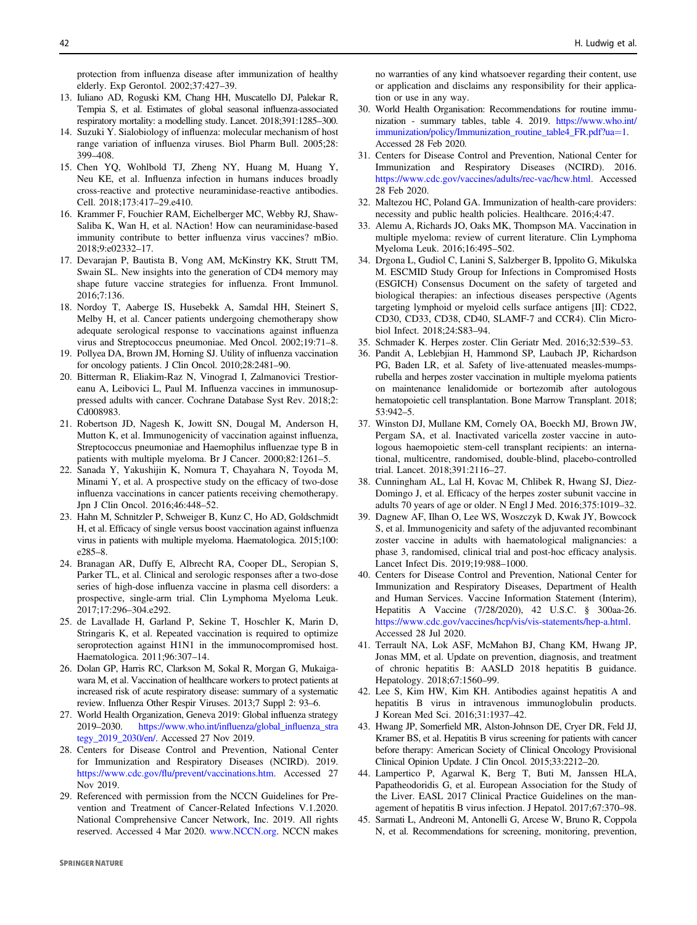<span id="page-11-0"></span>protection from influenza disease after immunization of healthy elderly. Exp Gerontol. 2002;37:427–39.

- 13. Iuliano AD, Roguski KM, Chang HH, Muscatello DJ, Palekar R, Tempia S, et al. Estimates of global seasonal influenza-associated respiratory mortality: a modelling study. Lancet. 2018;391:1285–300.
- 14. Suzuki Y. Sialobiology of influenza: molecular mechanism of host range variation of influenza viruses. Biol Pharm Bull. 2005;28: 399–408.
- 15. Chen YQ, Wohlbold TJ, Zheng NY, Huang M, Huang Y, Neu KE, et al. Influenza infection in humans induces broadly cross-reactive and protective neuraminidase-reactive antibodies. Cell. 2018;173:417–29.e410.
- 16. Krammer F, Fouchier RAM, Eichelberger MC, Webby RJ, Shaw-Saliba K, Wan H, et al. NAction! How can neuraminidase-based immunity contribute to better influenza virus vaccines? mBio. 2018;9:e02332–17.
- 17. Devarajan P, Bautista B, Vong AM, McKinstry KK, Strutt TM, Swain SL. New insights into the generation of CD4 memory may shape future vaccine strategies for influenza. Front Immunol. 2016;7:136.
- 18. Nordoy T, Aaberge IS, Husebekk A, Samdal HH, Steinert S, Melby H, et al. Cancer patients undergoing chemotherapy show adequate serological response to vaccinations against influenza virus and Streptococcus pneumoniae. Med Oncol. 2002;19:71–8.
- 19. Pollyea DA, Brown JM, Horning SJ. Utility of influenza vaccination for oncology patients. J Clin Oncol. 2010;28:2481–90.
- 20. Bitterman R, Eliakim-Raz N, Vinograd I, Zalmanovici Trestioreanu A, Leibovici L, Paul M. Influenza vaccines in immunosuppressed adults with cancer. Cochrane Database Syst Rev. 2018;2: Cd008983.
- 21. Robertson JD, Nagesh K, Jowitt SN, Dougal M, Anderson H, Mutton K, et al. Immunogenicity of vaccination against influenza, Streptococcus pneumoniae and Haemophilus influenzae type B in patients with multiple myeloma. Br J Cancer. 2000;82:1261–5.
- 22. Sanada Y, Yakushijin K, Nomura T, Chayahara N, Toyoda M, Minami Y, et al. A prospective study on the efficacy of two-dose influenza vaccinations in cancer patients receiving chemotherapy. Jpn J Clin Oncol. 2016;46:448–52.
- 23. Hahn M, Schnitzler P, Schweiger B, Kunz C, Ho AD, Goldschmidt H, et al. Efficacy of single versus boost vaccination against influenza virus in patients with multiple myeloma. Haematologica. 2015;100: e285–8.
- 24. Branagan AR, Duffy E, Albrecht RA, Cooper DL, Seropian S, Parker TL, et al. Clinical and serologic responses after a two-dose series of high-dose influenza vaccine in plasma cell disorders: a prospective, single-arm trial. Clin Lymphoma Myeloma Leuk. 2017;17:296–304.e292.
- 25. de Lavallade H, Garland P, Sekine T, Hoschler K, Marin D, Stringaris K, et al. Repeated vaccination is required to optimize seroprotection against H1N1 in the immunocompromised host. Haematologica. 2011;96:307–14.
- 26. Dolan GP, Harris RC, Clarkson M, Sokal R, Morgan G, Mukaigawara M, et al. Vaccination of healthcare workers to protect patients at increased risk of acute respiratory disease: summary of a systematic review. Influenza Other Respir Viruses. 2013;7 Suppl 2: 93–6.
- 27. World Health Organization, Geneva 2019: Global influenza strategy 2019–2030. [https://www.who.int/in](https://www.who.int/influenza/global_influenza_strategy_2019_2030/en/)fluenza/global\_influenza\_stra [tegy\\_2019\\_2030/en/.](https://www.who.int/influenza/global_influenza_strategy_2019_2030/en/) Accessed 27 Nov 2019.
- 28. Centers for Disease Control and Prevention, National Center for Immunization and Respiratory Diseases (NCIRD). 2019. https://www.cdc.gov/fl[u/prevent/vaccinations.htm.](https://www.cdc.gov/flu/prevent/vaccinations.htm) Accessed 27 Nov 2019.
- 29. Referenced with permission from the NCCN Guidelines for Prevention and Treatment of Cancer-Related Infections V.1.2020. National Comprehensive Cancer Network, Inc. 2019. All rights reserved. Accessed 4 Mar 2020. [www.NCCN.org](http://www.NCCN.org). NCCN makes

**SPRINGER NATURE** 

no warranties of any kind whatsoever regarding their content, use or application and disclaims any responsibility for their application or use in any way.

- 30. World Health Organisation: Recommendations for routine immunization - summary tables, table 4. 2019. [https://www.who.int/](https://www.who.int/immunization/policy/Immunization_routine_table4_FR.pdf?ua=1) [immunization/policy/Immunization\\_routine\\_table4\\_FR.pdf?ua](https://www.who.int/immunization/policy/Immunization_routine_table4_FR.pdf?ua=1)=1. Accessed 28 Feb 2020.
- 31. Centers for Disease Control and Prevention, National Center for Immunization and Respiratory Diseases (NCIRD). 2016. <https://www.cdc.gov/vaccines/adults/rec-vac/hcw.html>. Accessed 28 Feb 2020.
- 32. Maltezou HC, Poland GA. Immunization of health-care providers: necessity and public health policies. Healthcare. 2016;4:47.
- 33. Alemu A, Richards JO, Oaks MK, Thompson MA. Vaccination in multiple myeloma: review of current literature. Clin Lymphoma Myeloma Leuk. 2016;16:495–502.
- 34. Drgona L, Gudiol C, Lanini S, Salzberger B, Ippolito G, Mikulska M. ESCMID Study Group for Infections in Compromised Hosts (ESGICH) Consensus Document on the safety of targeted and biological therapies: an infectious diseases perspective (Agents targeting lymphoid or myeloid cells surface antigens [II]: CD22, CD30, CD33, CD38, CD40, SLAMF-7 and CCR4). Clin Microbiol Infect. 2018;24:S83–94.
- 35. Schmader K. Herpes zoster. Clin Geriatr Med. 2016;32:539–53.
- 36. Pandit A, Leblebjian H, Hammond SP, Laubach JP, Richardson PG, Baden LR, et al. Safety of live-attenuated measles-mumpsrubella and herpes zoster vaccination in multiple myeloma patients on maintenance lenalidomide or bortezomib after autologous hematopoietic cell transplantation. Bone Marrow Transplant. 2018; 53:942–5.
- 37. Winston DJ, Mullane KM, Cornely OA, Boeckh MJ, Brown JW, Pergam SA, et al. Inactivated varicella zoster vaccine in autologous haemopoietic stem-cell transplant recipients: an international, multicentre, randomised, double-blind, placebo-controlled trial. Lancet. 2018;391:2116–27.
- 38. Cunningham AL, Lal H, Kovac M, Chlibek R, Hwang SJ, Diez-Domingo J, et al. Efficacy of the herpes zoster subunit vaccine in adults 70 years of age or older. N Engl J Med. 2016;375:1019–32.
- 39. Dagnew AF, Ilhan O, Lee WS, Woszczyk D, Kwak JY, Bowcock S, et al. Immunogenicity and safety of the adjuvanted recombinant zoster vaccine in adults with haematological malignancies: a phase 3, randomised, clinical trial and post-hoc efficacy analysis. Lancet Infect Dis. 2019;19:988–1000.
- 40. Centers for Disease Control and Prevention, National Center for Immunization and Respiratory Diseases, Department of Health and Human Services. Vaccine Information Statement (Interim), Hepatitis A Vaccine (7/28/2020), 42 U.S.C. § 300aa-26. <https://www.cdc.gov/vaccines/hcp/vis/vis-statements/hep-a.html>. Accessed 28 Jul 2020.
- 41. Terrault NA, Lok ASF, McMahon BJ, Chang KM, Hwang JP, Jonas MM, et al. Update on prevention, diagnosis, and treatment of chronic hepatitis B: AASLD 2018 hepatitis B guidance. Hepatology. 2018;67:1560–99.
- 42. Lee S, Kim HW, Kim KH. Antibodies against hepatitis A and hepatitis B virus in intravenous immunoglobulin products. J Korean Med Sci. 2016;31:1937–42.
- 43. Hwang JP, Somerfield MR, Alston-Johnson DE, Cryer DR, Feld JJ, Kramer BS, et al. Hepatitis B virus screening for patients with cancer before therapy: American Society of Clinical Oncology Provisional Clinical Opinion Update. J Clin Oncol. 2015;33:2212–20.
- 44. Lampertico P, Agarwal K, Berg T, Buti M, Janssen HLA, Papatheodoridis G, et al. European Association for the Study of the Liver. EASL 2017 Clinical Practice Guidelines on the management of hepatitis B virus infection. J Hepatol. 2017;67:370–98.
- 45. Sarmati L, Andreoni M, Antonelli G, Arcese W, Bruno R, Coppola N, et al. Recommendations for screening, monitoring, prevention,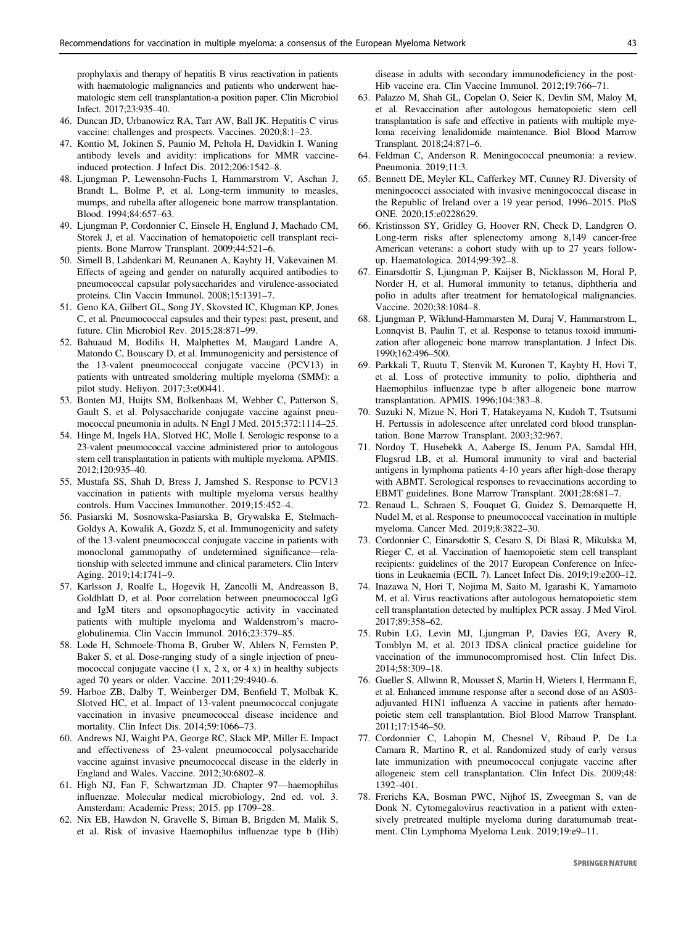<span id="page-12-0"></span>prophylaxis and therapy of hepatitis B virus reactivation in patients with haematologic malignancies and patients who underwent haematologic stem cell transplantation-a position paper. Clin Microbiol Infect. 2017;23:935–40.

- 46. Duncan JD, Urbanowicz RA, Tarr AW, Ball JK. Hepatitis C virus vaccine: challenges and prospects. Vaccines. 2020;8:1–23.
- 47. Kontio M, Jokinen S, Paunio M, Peltola H, Davidkin I. Waning antibody levels and avidity: implications for MMR vaccineinduced protection. J Infect Dis. 2012;206:1542–8.
- 48. Ljungman P, Lewensohn-Fuchs I, Hammarstrom V, Aschan J, Brandt L, Bolme P, et al. Long-term immunity to measles, mumps, and rubella after allogeneic bone marrow transplantation. Blood. 1994;84:657–63.
- 49. Ljungman P, Cordonnier C, Einsele H, Englund J, Machado CM, Storek J, et al. Vaccination of hematopoietic cell transplant recipients. Bone Marrow Transplant. 2009;44:521–6.
- 50. Simell B, Lahdenkari M, Reunanen A, Kayhty H, Vakevainen M. Effects of ageing and gender on naturally acquired antibodies to pneumococcal capsular polysaccharides and virulence-associated proteins. Clin Vaccin Immunol. 2008;15:1391–7.
- 51. Geno KA, Gilbert GL, Song JY, Skovsted IC, Klugman KP, Jones C, et al. Pneumococcal capsules and their types: past, present, and future. Clin Microbiol Rev. 2015;28:871–99.
- 52. Bahuaud M, Bodilis H, Malphettes M, Maugard Landre A, Matondo C, Bouscary D, et al. Immunogenicity and persistence of the 13-valent pneumococcal conjugate vaccine (PCV13) in patients with untreated smoldering multiple myeloma (SMM): a pilot study. Heliyon. 2017;3:e00441.
- 53. Bonten MJ, Huijts SM, Bolkenbaas M, Webber C, Patterson S, Gault S, et al. Polysaccharide conjugate vaccine against pneumococcal pneumonia in adults. N Engl J Med. 2015;372:1114–25.
- 54. Hinge M, Ingels HA, Slotved HC, Molle I. Serologic response to a 23-valent pneumococcal vaccine administered prior to autologous stem cell transplantation in patients with multiple myeloma. APMIS. 2012;120:935–40.
- 55. Mustafa SS, Shah D, Bress J, Jamshed S. Response to PCV13 vaccination in patients with multiple myeloma versus healthy controls. Hum Vaccines Immunother. 2019;15:452–4.
- 56. Pasiarski M, Sosnowska-Pasiarska B, Grywalska E, Stelmach-Goldys A, Kowalik A, Gozdz S, et al. Immunogenicity and safety of the 13-valent pneumococcal conjugate vaccine in patients with monoclonal gammopathy of undetermined significance—relationship with selected immune and clinical parameters. Clin Interv Aging. 2019;14:1741–9.
- 57. Karlsson J, Roalfe L, Hogevik H, Zancolli M, Andreasson B, Goldblatt D, et al. Poor correlation between pneumococcal IgG and IgM titers and opsonophagocytic activity in vaccinated patients with multiple myeloma and Waldenstrom's macroglobulinemia. Clin Vaccin Immunol. 2016;23:379–85.
- 58. Lode H, Schmoele-Thoma B, Gruber W, Ahlers N, Fernsten P, Baker S, et al. Dose-ranging study of a single injection of pneumococcal conjugate vaccine  $(1 x, 2 x, \text{ or } 4 x)$  in healthy subjects aged 70 years or older. Vaccine. 2011;29:4940–6.
- 59. Harboe ZB, Dalby T, Weinberger DM, Benfield T, Molbak K, Slotved HC, et al. Impact of 13-valent pneumococcal conjugate vaccination in invasive pneumococcal disease incidence and mortality. Clin Infect Dis. 2014;59:1066–73.
- 60. Andrews NJ, Waight PA, George RC, Slack MP, Miller E. Impact and effectiveness of 23-valent pneumococcal polysaccharide vaccine against invasive pneumococcal disease in the elderly in England and Wales. Vaccine. 2012;30:6802–8.
- 61. High NJ, Fan F, Schwartzman JD. Chapter 97—haemophilus influenzae. Molecular medical microbiology, 2nd ed. vol. 3. Amsterdam: Academic Press; 2015. pp 1709–28.
- 62. Nix EB, Hawdon N, Gravelle S, Biman B, Brigden M, Malik S, et al. Risk of invasive Haemophilus influenzae type b (Hib)

disease in adults with secondary immunodeficiency in the post-Hib vaccine era. Clin Vaccine Immunol. 2012;19:766–71.

- 63. Palazzo M, Shah GL, Copelan O, Seier K, Devlin SM, Maloy M, et al. Revaccination after autologous hematopoietic stem cell transplantation is safe and effective in patients with multiple myeloma receiving lenalidomide maintenance. Biol Blood Marrow Transplant. 2018;24:871–6.
- 64. Feldman C, Anderson R. Meningococcal pneumonia: a review. Pneumonia. 2019;11:3.
- 65. Bennett DE, Meyler KL, Cafferkey MT, Cunney RJ. Diversity of meningococci associated with invasive meningococcal disease in the Republic of Ireland over a 19 year period, 1996–2015. PloS ONE. 2020;15:e0228629.
- 66. Kristinsson SY, Gridley G, Hoover RN, Check D, Landgren O. Long-term risks after splenectomy among 8,149 cancer-free American veterans: a cohort study with up to 27 years followup. Haematologica. 2014;99:392–8.
- 67. Einarsdottir S, Ljungman P, Kaijser B, Nicklasson M, Horal P, Norder H, et al. Humoral immunity to tetanus, diphtheria and polio in adults after treatment for hematological malignancies. Vaccine. 2020;38:1084–8.
- 68. Ljungman P, Wiklund-Hammarsten M, Duraj V, Hammarstrom L, Lonnqvist B, Paulin T, et al. Response to tetanus toxoid immunization after allogeneic bone marrow transplantation. J Infect Dis. 1990;162:496–500.
- 69. Parkkali T, Ruutu T, Stenvik M, Kuronen T, Kayhty H, Hovi T, et al. Loss of protective immunity to polio, diphtheria and Haemophilus influenzae type b after allogeneic bone marrow transplantation. APMIS. 1996;104:383–8.
- 70. Suzuki N, Mizue N, Hori T, Hatakeyama N, Kudoh T, Tsutsumi H. Pertussis in adolescence after unrelated cord blood transplantation. Bone Marrow Transplant. 2003;32:967.
- 71. Nordoy T, Husebekk A, Aaberge IS, Jenum PA, Samdal HH, Flugsrud LB, et al. Humoral immunity to viral and bacterial antigens in lymphoma patients 4-10 years after high-dose therapy with ABMT. Serological responses to revaccinations according to EBMT guidelines. Bone Marrow Transplant. 2001;28:681–7.
- 72. Renaud L, Schraen S, Fouquet G, Guidez S, Demarquette H, Nudel M, et al. Response to pneumococcal vaccination in multiple myeloma. Cancer Med. 2019;8:3822–30.
- 73. Cordonnier C, Einarsdottir S, Cesaro S, Di Blasi R, Mikulska M, Rieger C, et al. Vaccination of haemopoietic stem cell transplant recipients: guidelines of the 2017 European Conference on Infections in Leukaemia (ECIL 7). Lancet Infect Dis. 2019;19:e200–12.
- 74. Inazawa N, Hori T, Nojima M, Saito M, Igarashi K, Yamamoto M, et al. Virus reactivations after autologous hematopoietic stem cell transplantation detected by multiplex PCR assay. J Med Virol. 2017;89:358–62.
- 75. Rubin LG, Levin MJ, Ljungman P, Davies EG, Avery R, Tomblyn M, et al. 2013 IDSA clinical practice guideline for vaccination of the immunocompromised host. Clin Infect Dis. 2014;58:309–18.
- 76. Gueller S, Allwinn R, Mousset S, Martin H, Wieters I, Herrmann E, et al. Enhanced immune response after a second dose of an AS03 adjuvanted H1N1 influenza A vaccine in patients after hematopoietic stem cell transplantation. Biol Blood Marrow Transplant. 2011;17:1546–50.
- 77. Cordonnier C, Labopin M, Chesnel V, Ribaud P, De La Camara R, Martino R, et al. Randomized study of early versus late immunization with pneumococcal conjugate vaccine after allogeneic stem cell transplantation. Clin Infect Dis. 2009;48: 1392–401.
- 78. Frerichs KA, Bosman PWC, Nijhof IS, Zweegman S, van de Donk N. Cytomegalovirus reactivation in a patient with extensively pretreated multiple myeloma during daratumumab treatment. Clin Lymphoma Myeloma Leuk. 2019;19:e9–11.